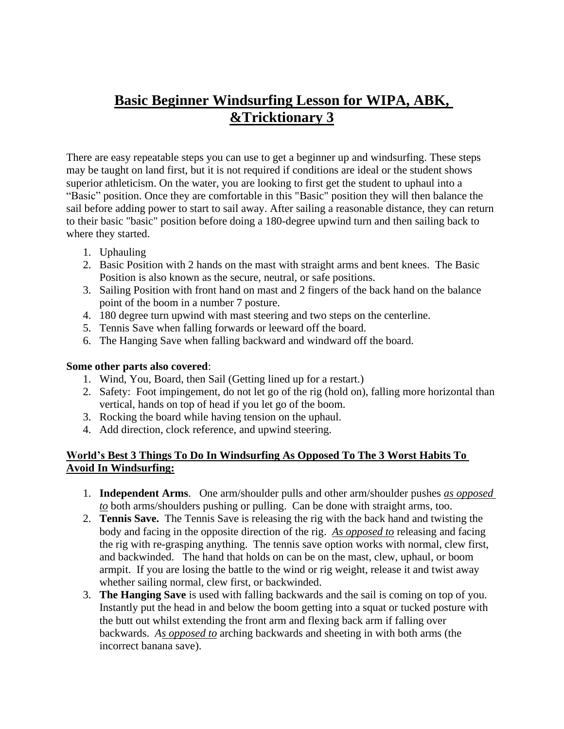# **Basic Beginner Windsurfing Lesson for WIPA, ABK, &Tricktionary 3**

There are easy repeatable steps you can use to get a beginner up and windsurfing. These steps may be taught on land first, but it is not required if conditions are ideal or the student shows superior athleticism. On the water, you are looking to first get the student to uphaul into a "Basic" position. Once they are comfortable in this "Basic" position they will then balance the sail before adding power to start to sail away. After sailing a reasonable distance, they can return to their basic "basic" position before doing a 180-degree upwind turn and then sailing back to where they started.

- 1. Uphauling
- 2. Basic Position with 2 hands on the mast with straight arms and bent knees. The Basic Position is also known as the secure, neutral, or safe positions.
- 3. Sailing Position with front hand on mast and 2 fingers of the back hand on the balance point of the boom in a number 7 posture.
- 4. 180 degree turn upwind with mast steering and two steps on the centerline.
- 5. Tennis Save when falling forwards or leeward off the board.
- 6. The Hanging Save when falling backward and windward off the board.

#### **Some other parts also covered**:

- 1. Wind, You, Board, then Sail (Getting lined up for a restart.)
- 2. Safety: Foot impingement, do not let go of the rig (hold on), falling more horizontal than vertical, hands on top of head if you let go of the boom.
- 3. Rocking the board while having tension on the uphaul.
- 4. Add direction, clock reference, and upwind steering.

# **World's Best 3 Things To Do In Windsurfing As Opposed To The 3 Worst Habits To Avoid In Windsurfing:**

- 1. **Independent Arms**. One arm/shoulder pulls and other arm/shoulder pushes *as opposed to* both arms/shoulders pushing or pulling. Can be done with straight arms, too.
- 2. **Tennis Save.** The Tennis Save is releasing the rig with the back hand and twisting the body and facing in the opposite direction of the rig. *As opposed to* releasing and facing the rig with re-grasping anything. The tennis save option works with normal, clew first, and backwinded. The hand that holds on can be on the mast, clew, uphaul, or boom armpit. If you are losing the battle to the wind or rig weight, release it and twist away whether sailing normal, clew first, or backwinded.
- 3. **The Hanging Save** is used with falling backwards and the sail is coming on top of you. Instantly put the head in and below the boom getting into a squat or tucked posture with the butt out whilst extending the front arm and flexing back arm if falling over backwards. *As opposed to* arching backwards and sheeting in with both arms (the incorrect banana save).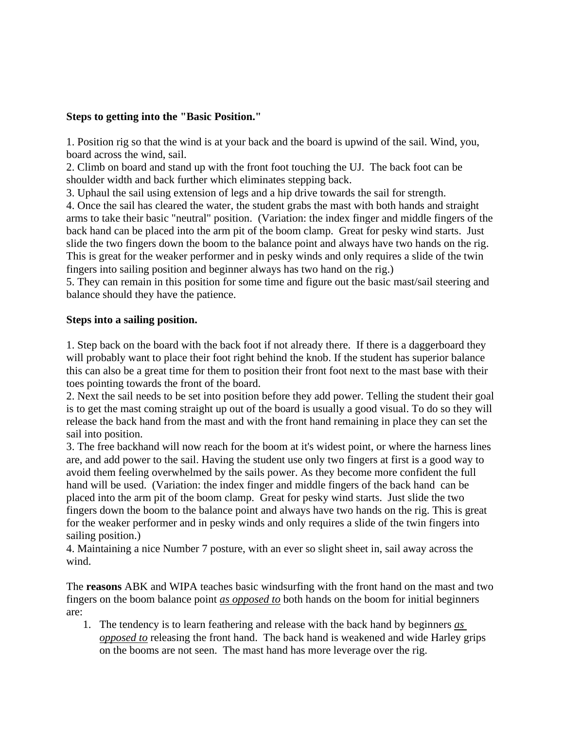## **Steps to getting into the "Basic Position."**

1. Position rig so that the wind is at your back and the board is upwind of the sail. Wind, you, board across the wind, sail.

2. Climb on board and stand up with the front foot touching the UJ. The back foot can be shoulder width and back further which eliminates stepping back.

3. Uphaul the sail using extension of legs and a hip drive towards the sail for strength.

4. Once the sail has cleared the water, the student grabs the mast with both hands and straight arms to take their basic "neutral" position. (Variation: the index finger and middle fingers of the back hand can be placed into the arm pit of the boom clamp. Great for pesky wind starts. Just slide the two fingers down the boom to the balance point and always have two hands on the rig. This is great for the weaker performer and in pesky winds and only requires a slide of the twin fingers into sailing position and beginner always has two hand on the rig.)

5. They can remain in this position for some time and figure out the basic mast/sail steering and balance should they have the patience.

### **Steps into a sailing position.**

1. Step back on the board with the back foot if not already there. If there is a daggerboard they will probably want to place their foot right behind the knob. If the student has superior balance this can also be a great time for them to position their front foot next to the mast base with their toes pointing towards the front of the board.

2. Next the sail needs to be set into position before they add power. Telling the student their goal is to get the mast coming straight up out of the board is usually a good visual. To do so they will release the back hand from the mast and with the front hand remaining in place they can set the sail into position.

3. The free backhand will now reach for the boom at it's widest point, or where the harness lines are, and add power to the sail. Having the student use only two fingers at first is a good way to avoid them feeling overwhelmed by the sails power. As they become more confident the full hand will be used. (Variation: the index finger and middle fingers of the back hand can be placed into the arm pit of the boom clamp. Great for pesky wind starts. Just slide the two fingers down the boom to the balance point and always have two hands on the rig. This is great for the weaker performer and in pesky winds and only requires a slide of the twin fingers into sailing position.)

4. Maintaining a nice Number 7 posture, with an ever so slight sheet in, sail away across the wind.

The **reasons** ABK and WIPA teaches basic windsurfing with the front hand on the mast and two fingers on the boom balance point *as opposed to* both hands on the boom for initial beginners are:

1. The tendency is to learn feathering and release with the back hand by beginners *as opposed to* releasing the front hand. The back hand is weakened and wide Harley grips on the booms are not seen. The mast hand has more leverage over the rig.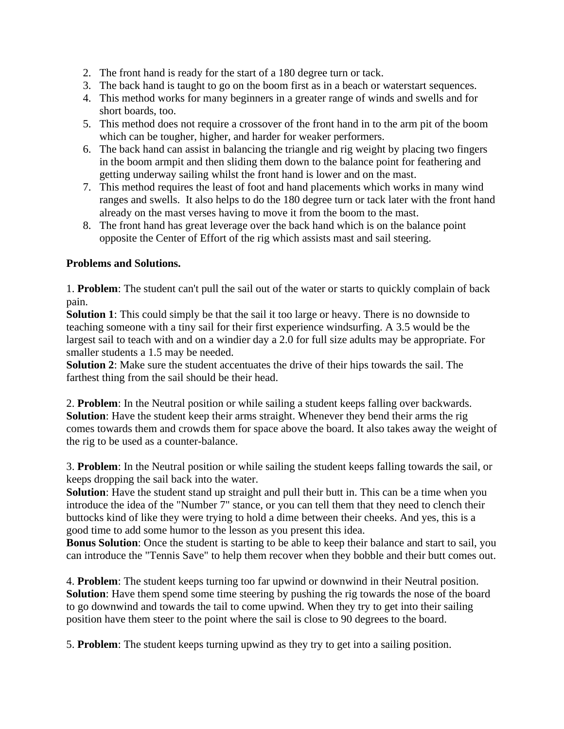- 2. The front hand is ready for the start of a 180 degree turn or tack.
- 3. The back hand is taught to go on the boom first as in a beach or waterstart sequences.
- 4. This method works for many beginners in a greater range of winds and swells and for short boards, too.
- 5. This method does not require a crossover of the front hand in to the arm pit of the boom which can be tougher, higher, and harder for weaker performers.
- 6. The back hand can assist in balancing the triangle and rig weight by placing two fingers in the boom armpit and then sliding them down to the balance point for feathering and getting underway sailing whilst the front hand is lower and on the mast.
- 7. This method requires the least of foot and hand placements which works in many wind ranges and swells. It also helps to do the 180 degree turn or tack later with the front hand already on the mast verses having to move it from the boom to the mast.
- 8. The front hand has great leverage over the back hand which is on the balance point opposite the Center of Effort of the rig which assists mast and sail steering.

# **Problems and Solutions.**

1. **Problem**: The student can't pull the sail out of the water or starts to quickly complain of back pain.

**Solution 1**: This could simply be that the sail it too large or heavy. There is no downside to teaching someone with a tiny sail for their first experience windsurfing. A 3.5 would be the largest sail to teach with and on a windier day a 2.0 for full size adults may be appropriate. For smaller students a 1.5 may be needed.

**Solution 2**: Make sure the student accentuates the drive of their hips towards the sail. The farthest thing from the sail should be their head.

2. **Problem**: In the Neutral position or while sailing a student keeps falling over backwards. **Solution**: Have the student keep their arms straight. Whenever they bend their arms the rig comes towards them and crowds them for space above the board. It also takes away the weight of the rig to be used as a counter-balance.

3. **Problem**: In the Neutral position or while sailing the student keeps falling towards the sail, or keeps dropping the sail back into the water.

**Solution**: Have the student stand up straight and pull their butt in. This can be a time when you introduce the idea of the "Number 7" stance, or you can tell them that they need to clench their buttocks kind of like they were trying to hold a dime between their cheeks. And yes, this is a good time to add some humor to the lesson as you present this idea.

**Bonus Solution**: Once the student is starting to be able to keep their balance and start to sail, you can introduce the "Tennis Save" to help them recover when they bobble and their butt comes out.

4. **Problem**: The student keeps turning too far upwind or downwind in their Neutral position. **Solution**: Have them spend some time steering by pushing the rig towards the nose of the board to go downwind and towards the tail to come upwind. When they try to get into their sailing position have them steer to the point where the sail is close to 90 degrees to the board.

5. **Problem**: The student keeps turning upwind as they try to get into a sailing position.